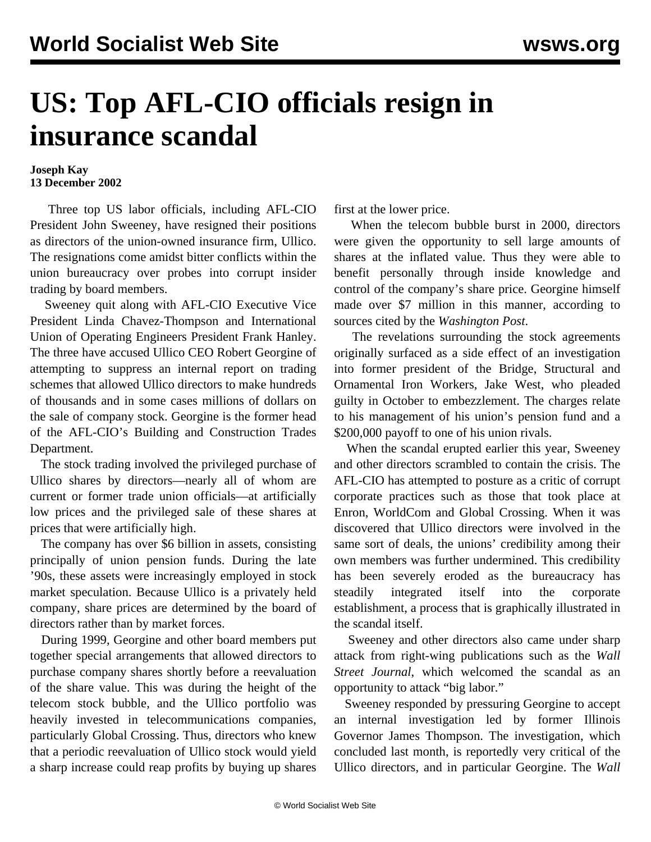## **US: Top AFL-CIO officials resign in insurance scandal**

## **Joseph Kay 13 December 2002**

 Three top US labor officials, including AFL-CIO President John Sweeney, have resigned their positions as directors of the union-owned insurance firm, Ullico. The resignations come amidst bitter conflicts within the union bureaucracy over probes into corrupt insider trading by board members.

 Sweeney quit along with AFL-CIO Executive Vice President Linda Chavez-Thompson and International Union of Operating Engineers President Frank Hanley. The three have accused Ullico CEO Robert Georgine of attempting to suppress an internal report on trading schemes that allowed Ullico directors to make hundreds of thousands and in some cases millions of dollars on the sale of company stock. Georgine is the former head of the AFL-CIO's Building and Construction Trades Department.

 The stock trading involved the privileged purchase of Ullico shares by directors—nearly all of whom are current or former trade union officials—at artificially low prices and the privileged sale of these shares at prices that were artificially high.

 The company has over \$6 billion in assets, consisting principally of union pension funds. During the late '90s, these assets were increasingly employed in stock market speculation. Because Ullico is a privately held company, share prices are determined by the board of directors rather than by market forces.

 During 1999, Georgine and other board members put together special arrangements that allowed directors to purchase company shares shortly before a reevaluation of the share value. This was during the height of the telecom stock bubble, and the Ullico portfolio was heavily invested in telecommunications companies, particularly Global Crossing. Thus, directors who knew that a periodic reevaluation of Ullico stock would yield a sharp increase could reap profits by buying up shares

first at the lower price.

 When the telecom bubble burst in 2000, directors were given the opportunity to sell large amounts of shares at the inflated value. Thus they were able to benefit personally through inside knowledge and control of the company's share price. Georgine himself made over \$7 million in this manner, according to sources cited by the *Washington Post*.

 The revelations surrounding the stock agreements originally surfaced as a side effect of an investigation into former president of the Bridge, Structural and Ornamental Iron Workers, Jake West, who pleaded guilty in October to embezzlement. The charges relate to his management of his union's pension fund and a \$200,000 payoff to one of his union rivals.

 When the scandal erupted earlier this year, Sweeney and other directors scrambled to contain the crisis. The AFL-CIO has attempted to posture as a critic of corrupt corporate practices such as those that took place at Enron, WorldCom and Global Crossing. When it was discovered that Ullico directors were involved in the same sort of deals, the unions' credibility among their own members was further undermined. This credibility has been severely eroded as the bureaucracy has steadily integrated itself into the corporate establishment, a process that is graphically illustrated in the scandal itself.

 Sweeney and other directors also came under sharp attack from right-wing publications such as the *Wall Street Journal*, which welcomed the scandal as an opportunity to attack "big labor."

 Sweeney responded by pressuring Georgine to accept an internal investigation led by former Illinois Governor James Thompson. The investigation, which concluded last month, is reportedly very critical of the Ullico directors, and in particular Georgine. The *Wall*